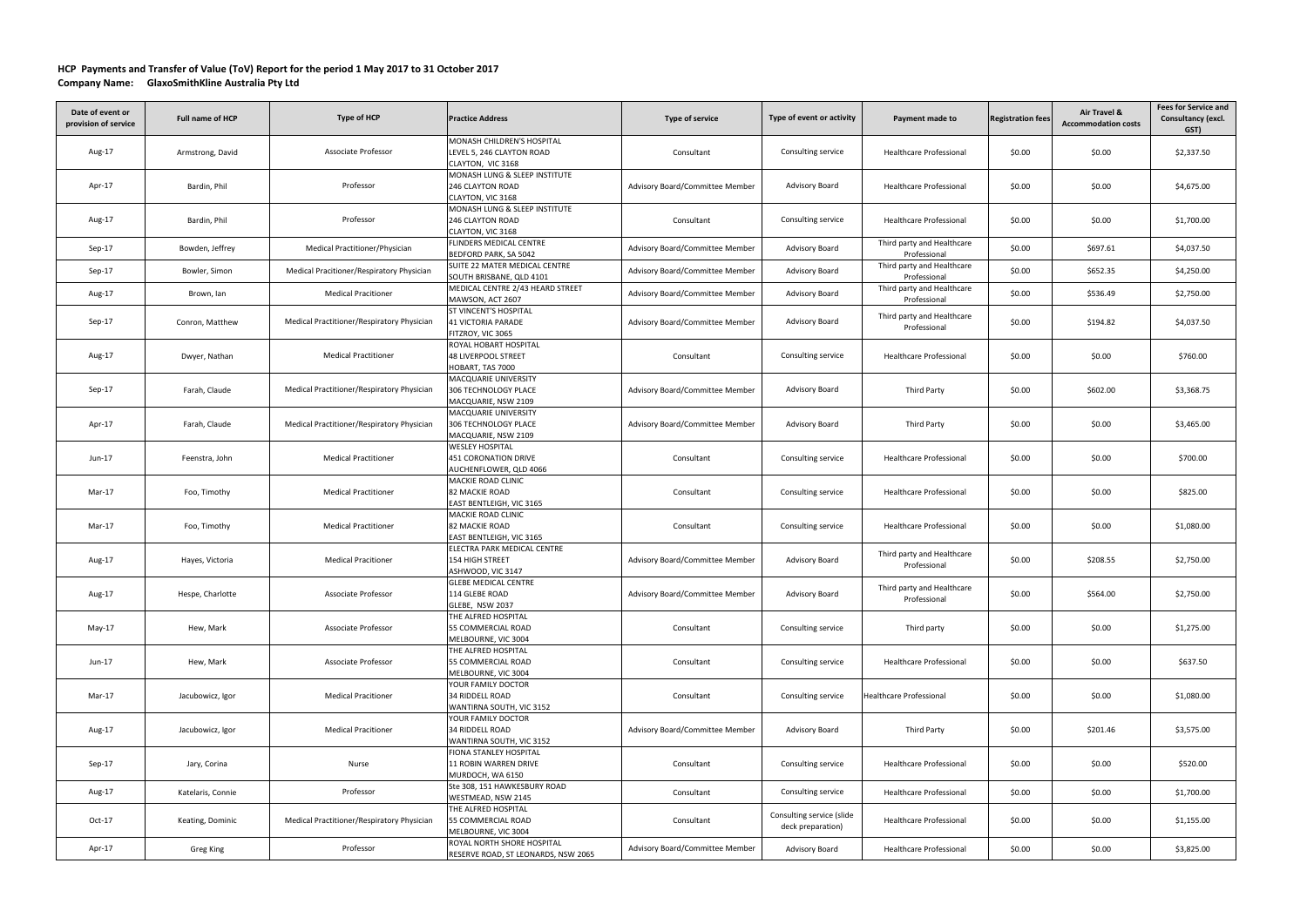## **HCP Payments and Transfer of Value (ToV) Report for the period 1 May 2017 to 31 October 2017 Company Name: GlaxoSmithKline Australia Pty Ltd**

| Date of event or<br>provision of service | <b>Full name of HCP</b> | Type of HCP                                | <b>Practice Address</b>                                                        | Type of service                 | Type of event or activity                      | Payment made to                            | <b>Registration fees</b> | Air Travel &<br><b>Accommodation costs</b> | <b>Fees for Service and</b><br>Consultancy (excl.<br>GST) |
|------------------------------------------|-------------------------|--------------------------------------------|--------------------------------------------------------------------------------|---------------------------------|------------------------------------------------|--------------------------------------------|--------------------------|--------------------------------------------|-----------------------------------------------------------|
| Aug-17                                   | Armstrong, David        | Associate Professor                        | MONASH CHILDREN'S HOSPITAL<br>LEVEL 5, 246 CLAYTON ROAD<br>CLAYTON, VIC 3168   | Consultant                      | Consulting service                             | <b>Healthcare Professional</b>             | \$0.00                   | \$0.00                                     | \$2,337.50                                                |
| Apr-17                                   | Bardin, Phil            | Professor                                  | MONASH LUNG & SLEEP INSTITUTE<br><b>246 CLAYTON ROAD</b><br>CLAYTON, VIC 3168  | Advisory Board/Committee Member | Advisory Board                                 | <b>Healthcare Professional</b>             | \$0.00                   | \$0.00                                     | \$4,675.00                                                |
| Aug-17                                   | Bardin, Phil            | Professor                                  | MONASH LUNG & SLEEP INSTITUTE<br><b>246 CLAYTON ROAD</b><br>CLAYTON, VIC 3168  | Consultant                      | Consulting service                             | <b>Healthcare Professional</b>             | \$0.00                   | \$0.00                                     | \$1,700.00                                                |
| Sep-17                                   | Bowden, Jeffrey         | Medical Practitioner/Physician             | <b>FLINDERS MEDICAL CENTRE</b><br>BEDFORD PARK, SA 5042                        | Advisory Board/Committee Member | <b>Advisory Board</b>                          | Third party and Healthcare<br>Professional | \$0.00                   | \$697.61                                   | \$4,037.50                                                |
| $Sep-17$                                 | Bowler, Simon           | Medical Pracitioner/Respiratory Physician  | SUITE 22 MATER MEDICAL CENTRE<br>SOUTH BRISBANE, QLD 4101                      | Advisory Board/Committee Member | Advisory Board                                 | Third party and Healthcare<br>Professional | \$0.00                   | \$652.35                                   | \$4,250.00                                                |
| Aug-17                                   | Brown, Ian              | <b>Medical Pracitioner</b>                 | MEDICAL CENTRE 2/43 HEARD STREET<br>MAWSON, ACT 2607                           | Advisory Board/Committee Member | Advisory Board                                 | Third party and Healthcare<br>Professional | \$0.00                   | \$536.49                                   | \$2,750.00                                                |
| Sep-17                                   | Conron, Matthew         | Medical Practitioner/Respiratory Physician | <b>ST VINCENT'S HOSPITAL</b><br><b>41 VICTORIA PARADE</b><br>FITZROY, VIC 3065 | Advisory Board/Committee Member | Advisory Board                                 | Third party and Healthcare<br>Professional | \$0.00                   | \$194.82                                   | \$4,037.50                                                |
| Aug-17                                   | Dwyer, Nathan           | <b>Medical Practitioner</b>                | ROYAL HOBART HOSPITAL<br><b>48 LIVERPOOL STREET</b><br>HOBART, TAS 7000        | Consultant                      | Consulting service                             | <b>Healthcare Professional</b>             | \$0.00                   | \$0.00                                     | \$760.00                                                  |
| Sep-17                                   | Farah, Claude           | Medical Practitioner/Respiratory Physician | <b>MACQUARIE UNIVERSITY</b><br>306 TECHNOLOGY PLACE<br>MACQUARIE, NSW 2109     | Advisory Board/Committee Member | Advisory Board                                 | Third Party                                | \$0.00                   | \$602.00                                   | \$3,368.75                                                |
| Apr-17                                   | Farah, Claude           | Medical Practitioner/Respiratory Physician | <b>MACQUARIE UNIVERSITY</b><br>306 TECHNOLOGY PLACE<br>MACQUARIE, NSW 2109     | Advisory Board/Committee Member | Advisory Board                                 | Third Party                                | \$0.00                   | \$0.00                                     | \$3,465.00                                                |
| Jun-17                                   | Feenstra, John          | <b>Medical Practitioner</b>                | <b>WESLEY HOSPITAL</b><br>451 CORONATION DRIVE<br>AUCHENFLOWER, QLD 4066       | Consultant                      | Consulting service                             | <b>Healthcare Professional</b>             | \$0.00                   | \$0.00                                     | \$700.00                                                  |
| Mar-17                                   | Foo, Timothy            | <b>Medical Practitioner</b>                | <b>MACKIE ROAD CLINIC</b><br><b>82 MACKIE ROAD</b><br>EAST BENTLEIGH, VIC 3165 | Consultant                      | Consulting service                             | <b>Healthcare Professional</b>             | \$0.00                   | \$0.00                                     | \$825.00                                                  |
| Mar-17                                   | Foo, Timothy            | <b>Medical Practitioner</b>                | <b>MACKIE ROAD CLINIC</b><br><b>82 MACKIE ROAD</b><br>EAST BENTLEIGH, VIC 3165 | Consultant                      | Consulting service                             | <b>Healthcare Professional</b>             | \$0.00                   | \$0.00                                     | \$1,080.00                                                |
| Aug-17                                   | Hayes, Victoria         | <b>Medical Pracitioner</b>                 | ELECTRA PARK MEDICAL CENTRE<br>154 HIGH STREET<br>ASHWOOD, VIC 3147            | Advisory Board/Committee Member | Advisory Board                                 | Third party and Healthcare<br>Professional | \$0.00                   | \$208.55                                   | \$2,750.00                                                |
| Aug-17                                   | Hespe, Charlotte        | Associate Professor                        | <b>GLEBE MEDICAL CENTRE</b><br>114 GLEBE ROAD<br>GLEBE, NSW 2037               | Advisory Board/Committee Member | Advisory Board                                 | Third party and Healthcare<br>Professional | \$0.00                   | \$564.00                                   | \$2,750.00                                                |
| May-17                                   | Hew, Mark               | Associate Professor                        | THE ALFRED HOSPITAL<br>55 COMMERCIAL ROAD<br>MELBOURNE, VIC 3004               | Consultant                      | Consulting service                             | Third party                                | \$0.00                   | \$0.00                                     | \$1,275.00                                                |
| Jun-17                                   | Hew, Mark               | Associate Professor                        | THE ALFRED HOSPITAL<br>55 COMMERCIAL ROAD<br>MELBOURNE, VIC 3004               | Consultant                      | Consulting service                             | <b>Healthcare Professional</b>             | \$0.00                   | \$0.00                                     | \$637.50                                                  |
| Mar-17                                   | Jacubowicz, Igor        | <b>Medical Pracitioner</b>                 | YOUR FAMILY DOCTOR<br>34 RIDDELL ROAD<br>WANTIRNA SOUTH, VIC 3152              | Consultant                      | Consulting service                             | Healthcare Professional                    | \$0.00                   | \$0.00                                     | \$1,080.00                                                |
| Aug-17                                   | Jacubowicz, Igor        | <b>Medical Pracitioner</b>                 | YOUR FAMILY DOCTOR<br>34 RIDDELL ROAD<br>WANTIRNA SOUTH, VIC 3152              | Advisory Board/Committee Member | Advisory Board                                 | Third Party                                | \$0.00                   | \$201.46                                   | \$3,575.00                                                |
| Sep-17                                   | Jary, Corina            | Nurse                                      | <b>FIONA STANLEY HOSPITAL</b><br>11 ROBIN WARREN DRIVE<br>MURDOCH, WA 6150     | Consultant                      | Consulting service                             | <b>Healthcare Professional</b>             | \$0.00                   | \$0.00                                     | \$520.00                                                  |
| Aug-17                                   | Katelaris, Connie       | Professor                                  | Ste 308, 151 HAWKESBURY ROAD<br>WESTMEAD, NSW 2145                             | Consultant                      | Consulting service                             | <b>Healthcare Professional</b>             | \$0.00                   | \$0.00                                     | \$1,700.00                                                |
| $Oct-17$                                 | Keating, Dominic        | Medical Practitioner/Respiratory Physician | THE ALFRED HOSPITAL<br>55 COMMERCIAL ROAD<br>MELBOURNE, VIC 3004               | Consultant                      | Consulting service (slide<br>deck preparation) | <b>Healthcare Professional</b>             | \$0.00                   | \$0.00                                     | \$1,155.00                                                |
| Apr-17                                   | Greg King               | Professor                                  | ROYAL NORTH SHORE HOSPITAL<br>RESERVE ROAD, ST LEONARDS, NSW 2065              | Advisory Board/Committee Member | Advisory Board                                 | Healthcare Professional                    | \$0.00                   | \$0.00                                     | \$3,825.00                                                |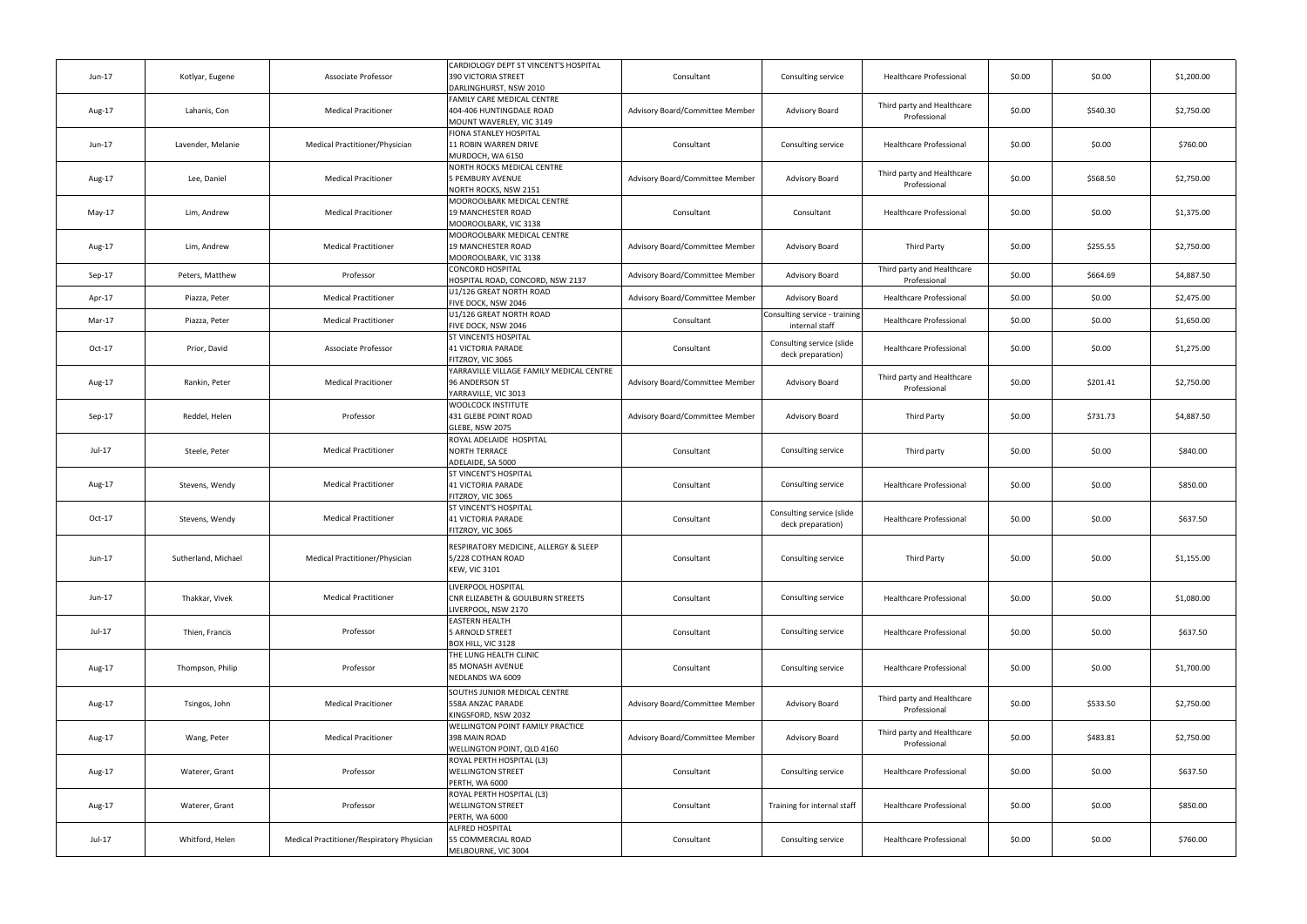| Kotlyar, Eugene     | Associate Professor                        | CARDIOLOGY DEPT ST VINCENT'S HOSPITAL                                                     |                                                                                         |                                                |                                            |        |          |            |
|---------------------|--------------------------------------------|-------------------------------------------------------------------------------------------|-----------------------------------------------------------------------------------------|------------------------------------------------|--------------------------------------------|--------|----------|------------|
|                     |                                            | 390 VICTORIA STREET<br>DARLINGHURST, NSW 2010                                             | Consultant                                                                              | Consulting service                             | <b>Healthcare Professional</b>             | \$0.00 | \$0.00   | \$1,200.00 |
| Lahanis, Con        | <b>Medical Pracitioner</b>                 | <b>FAMILY CARE MEDICAL CENTRE</b><br>404-406 HUNTINGDALE ROAD<br>MOUNT WAVERLEY, VIC 3149 | Advisory Board/Committee Member                                                         | Advisory Board                                 | Third party and Healthcare<br>Professional | \$0.00 | \$540.30 | \$2,750.00 |
| Lavender, Melanie   | Medical Practitioner/Physician             | <b>FIONA STANLEY HOSPITAL</b><br>11 ROBIN WARREN DRIVE<br>MURDOCH, WA 6150                | Consultant                                                                              | Consulting service                             | <b>Healthcare Professional</b>             | \$0.00 | \$0.00   | \$760.00   |
| Lee, Daniel         | <b>Medical Pracitioner</b>                 | NORTH ROCKS MEDICAL CENTRE<br><b>5 PEMBURY AVENUE</b><br>NORTH ROCKS, NSW 2151            | Advisory Board/Committee Member                                                         | Advisory Board                                 | Third party and Healthcare<br>Professional | \$0.00 | \$568.50 | \$2,750.00 |
| Lim, Andrew         | <b>Medical Pracitioner</b>                 | MOOROOLBARK MEDICAL CENTRE<br>19 MANCHESTER ROAD<br>MOOROOLBARK, VIC 3138                 | Consultant                                                                              | Consultant                                     | <b>Healthcare Professional</b>             | \$0.00 | \$0.00   | \$1,375.00 |
| Lim, Andrew         | <b>Medical Practitioner</b>                | MOOROOLBARK MEDICAL CENTRE<br>19 MANCHESTER ROAD<br>MOOROOLBARK, VIC 3138                 | Advisory Board/Committee Member                                                         | Advisory Board                                 | Third Party                                | \$0.00 | \$255.55 | \$2,750.00 |
| Peters, Matthew     | Professor                                  | <b>CONCORD HOSPITAL</b><br>HOSPITAL ROAD, CONCORD, NSW 2137                               | Advisory Board/Committee Member                                                         | <b>Advisory Board</b>                          | Third party and Healthcare<br>Professional | \$0.00 | \$664.69 | \$4,887.50 |
| Piazza, Peter       | <b>Medical Practitioner</b>                | U1/126 GREAT NORTH ROAD                                                                   | Advisory Board/Committee Member                                                         | <b>Advisory Board</b>                          | <b>Healthcare Professional</b>             | \$0.00 | \$0.00   | \$2,475.00 |
| Piazza, Peter       | <b>Medical Practitioner</b>                | U1/126 GREAT NORTH ROAD                                                                   | Consultant                                                                              | Consulting service - training                  | <b>Healthcare Professional</b>             | \$0.00 | \$0.00   | \$1,650.00 |
| Prior, David        | Associate Professor                        | ST VINCENTS HOSPITAL<br><b>41 VICTORIA PARADE</b>                                         | Consultant                                                                              | Consulting service (slide<br>deck preparation) | <b>Healthcare Professional</b>             | \$0.00 | \$0.00   | \$1,275.00 |
| Rankin, Peter       | <b>Medical Pracitioner</b>                 | YARRAVILLE VILLAGE FAMILY MEDICAL CENTRE<br>96 ANDERSON ST                                | Advisory Board/Committee Member                                                         | Advisory Board                                 | Third party and Healthcare<br>Professional | \$0.00 | \$201.41 | \$2,750.00 |
| Reddel, Helen       | Professor                                  | WOOLCOCK INSTITUTE<br>431 GLEBE POINT ROAD<br>GLEBE, NSW 2075                             | Advisory Board/Committee Member                                                         | Advisory Board                                 | Third Party                                | \$0.00 | \$731.73 | \$4,887.50 |
| Steele, Peter       | <b>Medical Practitioner</b>                | ROYAL ADELAIDE HOSPITAL<br><b>NORTH TERRACE</b><br>ADELAIDE, SA 5000                      | Consultant                                                                              | Consulting service                             | Third party                                | \$0.00 | \$0.00   | \$840.00   |
| Stevens, Wendy      | <b>Medical Practitioner</b>                | ST VINCENT'S HOSPITAL<br><b>41 VICTORIA PARADE</b><br>FITZROY, VIC 3065                   | Consultant                                                                              | Consulting service                             | <b>Healthcare Professional</b>             | \$0.00 | \$0.00   | \$850.00   |
| Stevens, Wendy      | <b>Medical Practitioner</b>                | ST VINCENT'S HOSPITAL<br><b>41 VICTORIA PARADE</b><br>FITZROY, VIC 3065                   | Consultant                                                                              | Consulting service (slide<br>deck preparation) | <b>Healthcare Professional</b>             | \$0.00 | \$0.00   | \$637.50   |
| Sutherland, Michael | Medical Practitioner/Physician             | RESPIRATORY MEDICINE, ALLERGY & SLEEP<br>5/228 COTHAN ROAD<br><b>KEW, VIC 3101</b>        | Consultant                                                                              | Consulting service                             | Third Party                                | \$0.00 | \$0.00   | \$1,155.00 |
| Thakkar, Vivek      | <b>Medical Practitioner</b>                | LIVERPOOL HOSPITAL<br>CNR ELIZABETH & GOULBURN STREETS<br>LIVERPOOL, NSW 2170             | Consultant                                                                              | Consulting service                             | <b>Healthcare Professional</b>             | \$0.00 | \$0.00   | \$1,080.00 |
| Thien, Francis      | Professor                                  | <b>EASTERN HEALTH</b><br>5 ARNOLD STREET<br>BOX HILL, VIC 3128                            | Consultant                                                                              | Consulting service                             | <b>Healthcare Professional</b>             | \$0.00 | \$0.00   | \$637.50   |
| Thompson, Philip    | Professor                                  | THE LUNG HEALTH CLINIC<br><b>85 MONASH AVENUE</b><br>NEDLANDS WA 6009                     | Consultant                                                                              | Consulting service                             | <b>Healthcare Professional</b>             | \$0.00 | \$0.00   | \$1,700.00 |
| Tsingos, John       | <b>Medical Pracitioner</b>                 | SOUTHS JUNIOR MEDICAL CENTRE<br>558A ANZAC PARADE<br>KINGSFORD, NSW 2032                  | Advisory Board/Committee Member                                                         | Advisory Board                                 | Third party and Healthcare<br>Professional | \$0.00 | \$533.50 | \$2,750.00 |
| Wang, Peter         | <b>Medical Pracitioner</b>                 | WELLINGTON POINT FAMILY PRACTICE<br>398 MAIN ROAD<br>WELLINGTON POINT, QLD 4160           | Advisory Board/Committee Member                                                         | Advisory Board                                 | Third party and Healthcare<br>Professional | \$0.00 | \$483.81 | \$2,750.00 |
| Waterer, Grant      | Professor                                  | ROYAL PERTH HOSPITAL (L3)<br><b>WELLINGTON STREET</b><br>PERTH, WA 6000                   | Consultant                                                                              | Consulting service                             | <b>Healthcare Professional</b>             | \$0.00 | \$0.00   | \$637.50   |
| Waterer, Grant      | Professor                                  | ROYAL PERTH HOSPITAL (L3)<br><b>WELLINGTON STREET</b><br>PERTH, WA 6000                   | Consultant                                                                              | Training for internal staff                    | <b>Healthcare Professional</b>             | \$0.00 | \$0.00   | \$850.00   |
| Whitford, Helen     | Medical Practitioner/Respiratory Physician | <b>ALFRED HOSPITAL</b><br>55 COMMERCIAL ROAD<br>MELBOURNE, VIC 3004                       | Consultant                                                                              | Consulting service                             | <b>Healthcare Professional</b>             | \$0.00 | \$0.00   | \$760.00   |
|                     |                                            |                                                                                           | FIVE DOCK, NSW 2046<br>FIVE DOCK, NSW 2046<br>FITZROY, VIC 3065<br>YARRAVILLE, VIC 3013 |                                                | internal staff                             |        |          |            |